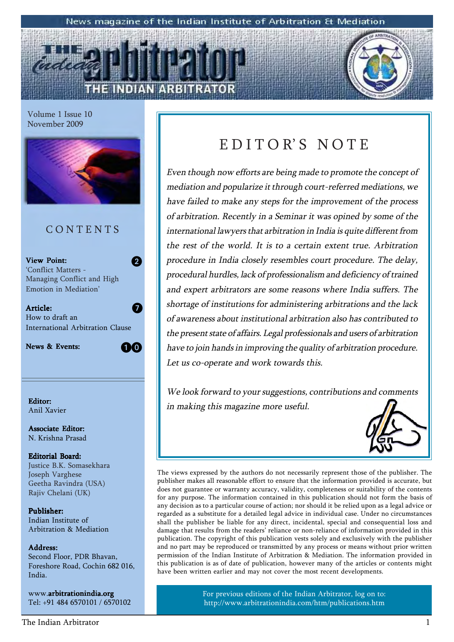#### News magazine of the Indian Institute of Arbitration & Mediation

Volume 1 Issue 10 November 2009



### C O N T E N T S

View Point: 'Conflict Matters -Managing Conflict and High Emotion in Mediation<sup>'</sup>

Article: How to draft an International Arbitration Clause

News & Events:

00

2

 $\bm{Q}$ 

Anil Xavier

Associate Editor: N. Krishna Prasad

#### Editorial Board: Justice B.K. Somasekhara Joseph Varghese Geetha Ravindra (USA) Rajiv Chelani (UK)

Publisher: Indian Institute of Arbitration & Mediation

#### Address: Address:

Second Floor, PDR Bhavan, Foreshore Road, Cochin 682 016, India.

www.arbitrationindia.org Tel: +91 484 6570101 / 6570102

### EDITOR'S NOTE

Even though now efforts are being made to promote the concept of mediation and popularize it through court-referred mediations, we have failed to make any steps for the improvement of the process of arbitration. Recently in a Seminar it was opined by some of the international lawyers that arbitration in India is quite different from the rest of the world. It is to a certain extent true. Arbitration procedure in India closely resembles court procedure. The delay, procedural hurdles, lack of professionalism and deficiency of trained and expert arbitrators are some reasons where India suffers. The shortage of institutions for administering arbitrations and the lack of awareness about institutional arbitration also has contributed to the present state of affairs. Legal professionals and users of arbitration have to join hands in improving the quality of arbitration procedure. Let us co-operate and work towards this.

We look forward to your suggestions, contributions and comments **Editor:**<br>Anil Yarian and Theorem 2008 in making this magazine more useful.



The views expressed by the authors do not necessarily represent those of the publisher. The publisher makes all reasonable effort to ensure that the information provided is accurate, but does not guarantee or warranty accuracy, validity, completeness or suitability of the contents for any purpose. The information contained in this publication should not form the basis of any decision as to a particular course of action; nor should it be relied upon as a legal advice or regarded as a substitute for a detailed legal advice in individual case. Under no circumstances shall the publisher be liable for any direct, incidental, special and consequential loss and damage that results from the readers' reliance or non-reliance of information provided in this publication. The copyright of this publication vests solely and exclusively with the publisher and no part may be reproduced or transmitted by any process or means without prior written permission of the Indian Institute of Arbitration & Mediation. The information provided in this publication is as of date of publication, however many of the articles or contents might have been written earlier and may not cover the most recent developments.

> For previous editions of the Indian Arbitrator, log on to: http://www.arbitrationindia.com/htm/publications.htm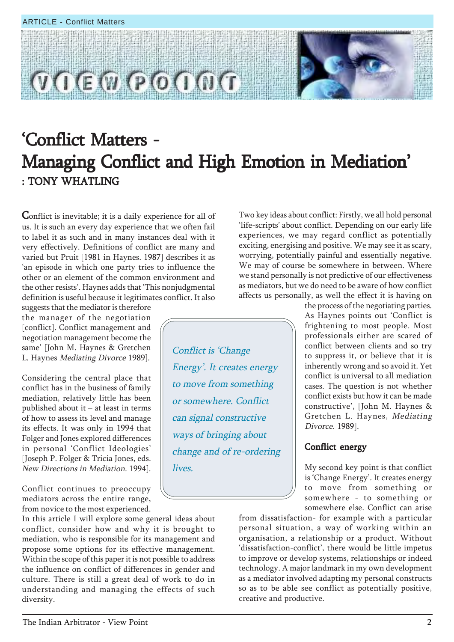# $D<sub>0</sub>$

## 'Conflict Matters -Managing Conflict and High Emotion in Mediation' : TONY WHATLING

Conflict is inevitable; it is a daily experience for all of us. It is such an every day experience that we often fail to label it as such and in many instances deal with it very effectively. Definitions of conflict are many and varied but Pruit [1981 in Haynes. 1987] describes it as ëan episode in which one party tries to influence the other or an element of the common environment and the other resists'. Haynes adds that 'This nonjudgmental definition is useful because it legitimates conflict. It also

suggests that the mediator is therefore the manager of the negotiation [conflict]. Conflict management and negotiation management become the same' [John M. Haynes & Gretchen L. Haynes Mediating Divorce 1989].

Considering the central place that conflict has in the business of family mediation, relatively little has been published about it  $-$  at least in terms of how to assess its level and manage its effects. It was only in 1994 that Folger and Jones explored differences in personal 'Conflict Ideologies' [Joseph P. Folger & Tricia Jones, eds. New Directions in Mediation. 1994].

Conflict continues to preoccupy mediators across the entire range, from novice to the most experienced.

In this article I will explore some general ideas about conflict, consider how and why it is brought to mediation, who is responsible for its management and propose some options for its effective management. Within the scope of this paper it is not possible to address the influence on conflict of differences in gender and culture. There is still a great deal of work to do in understanding and managing the effects of such diversity.

Two key ideas about conflict: Firstly, we all hold personal 'life-scripts' about conflict. Depending on our early life experiences, we may regard conflict as potentially exciting, energising and positive. We may see it as scary, worrying, potentially painful and essentially negative. We may of course be somewhere in between. Where we stand personally is not predictive of our effectiveness as mediators, but we do need to be aware of how conflict affects us personally, as well the effect it is having on

the process of the negotiating parties. As Haynes points out 'Conflict is frightening to most people. Most professionals either are scared of conflict between clients and so try to suppress it, or believe that it is inherently wrong and so avoid it. Yet conflict is universal to all mediation cases. The question is not whether conflict exists but how it can be made constructive', [John M. Haynes & Gretchen L. Haynes, Mediating Divorce. 1989].

#### Conflict energy

My second key point is that conflict is 'Change Energy'. It creates energy to move from something or somewhere - to something or somewhere else. Conflict can arise

from dissatisfaction- for example with a particular personal situation, a way of working within an organisation, a relationship or a product. Without 'dissatisfaction-conflict', there would be little impetus to improve or develop systems, relationships or indeed technology. A major landmark in my own development as a mediator involved adapting my personal constructs so as to be able see conflict as potentially positive, creative and productive.

Conflict is 'Change Energy'. It creates energy to move from something or somewhere. Conflict can signal constructive ways of bringing about change and of re-ordering lives.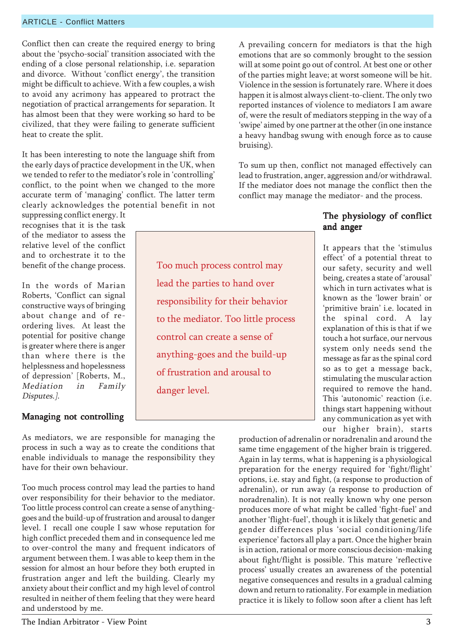#### ARTICLE - Conflict Matters

Conflict then can create the required energy to bring about the 'psycho-social' transition associated with the ending of a close personal relationship, i.e. separation and divorce. Without 'conflict energy', the transition might be difficult to achieve. With a few couples, a wish to avoid any acrimony has appeared to protract the negotiation of practical arrangements for separation. It has almost been that they were working so hard to be civilized, that they were failing to generate sufficient heat to create the split.

It has been interesting to note the language shift from the early days of practice development in the UK, when we tended to refer to the mediator's role in 'controlling' conflict, to the point when we changed to the more accurate term of 'managing' conflict. The latter term clearly acknowledges the potential benefit in not

suppressing conflict energy. It recognises that it is the task of the mediator to assess the relative level of the conflict and to orchestrate it to the benefit of the change process.

In the words of Marian Roberts, 'Conflict can signal constructive ways of bringing about change and of reordering lives. At least the potential for positive change is greater where there is anger than where there is the helplessness and hopelessness of depression' [Roberts, M., Mediation in Family Disputes.].

#### Managing not controlling

As mediators, we are responsible for managing the process in such a way as to create the conditions that enable individuals to manage the responsibility they have for their own behaviour.

Too much process control may lead the parties to hand over responsibility for their behavior to the mediator. Too little process control can create a sense of anythinggoes and the build-up of frustration and arousal to danger level. I recall one couple I saw whose reputation for high conflict preceded them and in consequence led me to over-control the many and frequent indicators of argument between them. I was able to keep them in the session for almost an hour before they both erupted in frustration anger and left the building. Clearly my anxiety about their conflict and my high level of control resulted in neither of them feeling that they were heard and understood by me.

Too much process control may lead the parties to hand over responsibility for their behavior to the mediator. Too little process control can create a sense of anything-goes and the build-up of frustration and arousal to danger level.

A prevailing concern for mediators is that the high emotions that are so commonly brought to the session will at some point go out of control. At best one or other of the parties might leave; at worst someone will be hit. Violence in the session is fortunately rare. Where it does happen it is almost always client-to-client. The only two reported instances of violence to mediators I am aware of, were the result of mediators stepping in the way of a 'swipe' aimed by one partner at the other (in one instance a heavy handbag swung with enough force as to cause bruising).

To sum up then, conflict not managed effectively can lead to frustration, anger, aggression and/or withdrawal. If the mediator does not manage the conflict then the conflict may manage the mediator- and the process.

#### The physiology of conflict and anger

It appears that the 'stimulus effect' of a potential threat to our safety, security and well being, creates a state of 'arousal' which in turn activates what is known as the 'lower brain' or 'primitive brain' i.e. located in the spinal cord. A lay explanation of this is that if we touch a hot surface, our nervous system only needs send the message as far as the spinal cord so as to get a message back, stimulating the muscular action required to remove the hand. This 'autonomic' reaction (i.e. things start happening without any communication as yet with our higher brain), starts

production of adrenalin or noradrenalin and around the same time engagement of the higher brain is triggered. Again in lay terms, what is happening is a physiological preparation for the energy required for 'fight/flight' options, i.e. stay and fight, (a response to production of adrenalin), or run away (a response to production of noradrenalin). It is not really known why one person produces more of what might be called 'fight-fuel' and another 'flight-fuel', though it is likely that genetic and gender differences plus ësocial conditioning/life experience' factors all play a part. Once the higher brain is in action, rational or more conscious decision-making about fight/flight is possible. This mature 'reflective process' usually creates an awareness of the potential negative consequences and results in a gradual calming down and return to rationality. For example in mediation practice it is likely to follow soon after a client has left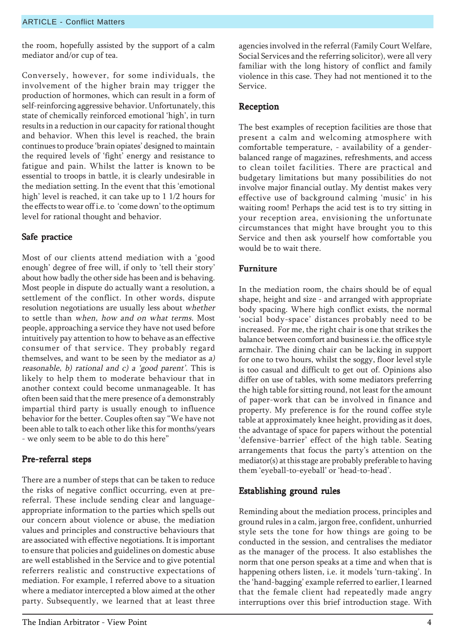the room, hopefully assisted by the support of a calm mediator and/or cup of tea.

Conversely, however, for some individuals, the involvement of the higher brain may trigger the production of hormones, which can result in a form of self-reinforcing aggressive behavior. Unfortunately, this state of chemically reinforced emotional 'high', in turn results in a reduction in our capacity for rational thought and behavior. When this level is reached, the brain continues to produce 'brain opiates' designed to maintain the required levels of 'fight' energy and resistance to fatigue and pain. Whilst the latter is known to be essential to troops in battle, it is clearly undesirable in the mediation setting. In the event that this 'emotional high' level is reached, it can take up to  $1 \frac{1}{2}$  hours for the effects to wear off i.e. to 'come down' to the optimum level for rational thought and behavior.

#### Safe practice

Most of our clients attend mediation with a 'good enough' degree of free will, if only to 'tell their story' about how badly the other side has been and is behaving. Most people in dispute do actually want a resolution, a settlement of the conflict. In other words, dispute resolution negotiations are usually less about whether to settle than when, how and on what terms. Most people, approaching a service they have not used before intuitively pay attention to how to behave as an effective consumer of that service. They probably regard themselves, and want to be seen by the mediator as a) reasonable, b) rational and  $c$ ) a 'good parent'. This is likely to help them to moderate behaviour that in another context could become unmanageable. It has often been said that the mere presence of a demonstrably impartial third party is usually enough to influence behavior for the better. Couples often say "We have not been able to talk to each other like this for months/years - we only seem to be able to do this here"

#### Pre-referral steps

There are a number of steps that can be taken to reduce the risks of negative conflict occurring, even at prereferral. These include sending clear and languageappropriate information to the parties which spells out our concern about violence or abuse, the mediation values and principles and constructive behaviours that are associated with effective negotiations. It is important to ensure that policies and guidelines on domestic abuse are well established in the Service and to give potential referrers realistic and constructive expectations of mediation. For example, I referred above to a situation where a mediator intercepted a blow aimed at the other party. Subsequently, we learned that at least three

#### Reception

The best examples of reception facilities are those that present a calm and welcoming atmosphere with comfortable temperature, - availability of a genderbalanced range of magazines, refreshments, and access to clean toilet facilities. There are practical and budgetary limitations but many possibilities do not involve major financial outlay. My dentist makes very effective use of background calming 'music' in his waiting room! Perhaps the acid test is to try sitting in your reception area, envisioning the unfortunate circumstances that might have brought you to this Service and then ask yourself how comfortable you would be to wait there.

#### Furniture

In the mediation room, the chairs should be of equal shape, height and size - and arranged with appropriate body spacing. Where high conflict exists, the normal 'social body-space' distances probably need to be increased. For me, the right chair is one that strikes the balance between comfort and business i.e. the office style armchair. The dining chair can be lacking in support for one to two hours, whilst the soggy, floor level style is too casual and difficult to get out of. Opinions also differ on use of tables, with some mediators preferring the high table for sitting round, not least for the amount of paper-work that can be involved in finance and property. My preference is for the round coffee style table at approximately knee height, providing as it does, the advantage of space for papers without the potential 'defensive-barrier' effect of the high table. Seating arrangements that focus the party's attention on the mediator(s) at this stage are probably preferable to having them 'eyeball-to-eyeball' or 'head-to-head'.

#### Establishing ground rules

Reminding about the mediation process, principles and ground rules in a calm, jargon free, confident, unhurried style sets the tone for how things are going to be conducted in the session, and centralises the mediator as the manager of the process. It also establishes the norm that one person speaks at a time and when that is happening others listen, i.e. it models 'turn-taking'. In the 'hand-bagging' example referred to earlier, I learned that the female client had repeatedly made angry interruptions over this brief introduction stage. With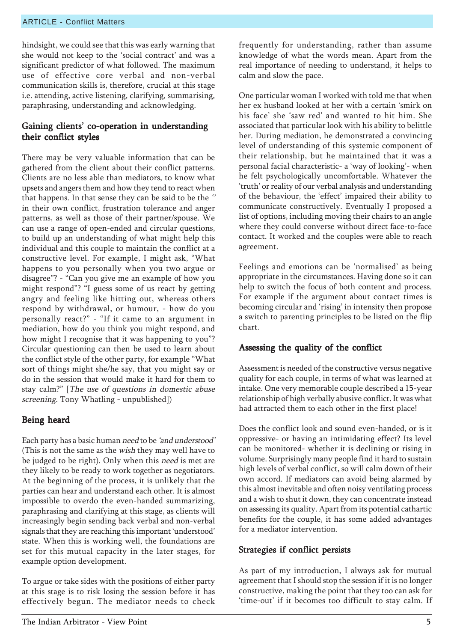hindsight, we could see that this was early warning that she would not keep to the 'social contract' and was a significant predictor of what followed. The maximum use of effective core verbal and non-verbal communication skills is, therefore, crucial at this stage i.e. attending, active listening, clarifying, summarising, paraphrasing, understanding and acknowledging.

#### Gaining clients' co-operation in understanding their conflict styles

There may be very valuable information that can be gathered from the client about their conflict patterns. Clients are no less able than mediators, to know what upsets and angers them and how they tend to react when that happens. In that sense they can be said to be the  $\degree$ in their own conflict, frustration tolerance and anger patterns, as well as those of their partner/spouse. We can use a range of open-ended and circular questions, to build up an understanding of what might help this individual and this couple to maintain the conflict at a constructive level. For example, I might ask, "What happens to you personally when you two argue or disagree"? - "Can you give me an example of how you might respond"? "I guess some of us react by getting angry and feeling like hitting out, whereas others respond by withdrawal, or humour, - how do you personally react?" - "If it came to an argument in mediation, how do you think you might respond, and how might I recognise that it was happening to you"? Circular questioning can then be used to learn about the conflict style of the other party, for example "What sort of things might she/he say, that you might say or do in the session that would make it hard for them to stay calm?" [The use of questions in domestic abuse screening. Tony Whatling - unpublished])

#### Being heard

Each party has a basic human need to be 'and understood' (This is not the same as the wish they may well have to be judged to be right). Only when this need is met are they likely to be ready to work together as negotiators. At the beginning of the process, it is unlikely that the parties can hear and understand each other. It is almost impossible to overdo the even-handed summarizing, paraphrasing and clarifying at this stage, as clients will increasingly begin sending back verbal and non-verbal signals that they are reaching this important 'understood' state. When this is working well, the foundations are set for this mutual capacity in the later stages, for example option development.

To argue or take sides with the positions of either party at this stage is to risk losing the session before it has effectively begun. The mediator needs to check frequently for understanding, rather than assume knowledge of what the words mean. Apart from the real importance of needing to understand, it helps to calm and slow the pace.

One particular woman I worked with told me that when her ex husband looked at her with a certain 'smirk on his face' she 'saw red' and wanted to hit him. She associated that particular look with his ability to belittle her. During mediation, he demonstrated a convincing level of understanding of this systemic component of their relationship, but he maintained that it was a personal facial characteristic- a 'way of looking'- when he felt psychologically uncomfortable. Whatever the 'truth' or reality of our verbal analysis and understanding of the behaviour, the 'effect' impaired their ability to communicate constructively. Eventually I proposed a list of options, including moving their chairs to an angle where they could converse without direct face-to-face contact. It worked and the couples were able to reach agreement.

Feelings and emotions can be 'normalised' as being appropriate in the circumstances. Having done so it can help to switch the focus of both content and process. For example if the argument about contact times is becoming circular and 'rising' in intensity then propose a switch to parenting principles to be listed on the flip chart.

#### Assessing the quality of the conflict

Assessment is needed of the constructive versus negative quality for each couple, in terms of what was learned at intake. One very memorable couple described a 15-year relationship of high verbally abusive conflict. It was what had attracted them to each other in the first place!

Does the conflict look and sound even-handed, or is it oppressive- or having an intimidating effect? Its level can be monitored- whether it is declining or rising in volume. Surprisingly many people find it hard to sustain high levels of verbal conflict, so will calm down of their own accord. If mediators can avoid being alarmed by this almost inevitable and often noisy ventilating process and a wish to shut it down, they can concentrate instead on assessing its quality. Apart from its potential cathartic benefits for the couple, it has some added advantages for a mediator intervention.

#### Strategies if conflict persists

As part of my introduction, I always ask for mutual agreement that I should stop the session if it is no longer constructive, making the point that they too can ask for 'time-out' if it becomes too difficult to stay calm. If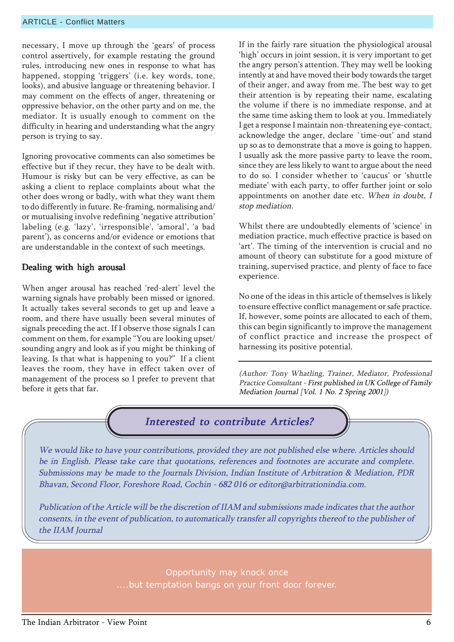necessary, I move up through the 'gears' of process control assertively, for example restating the ground rules, introducing new ones in response to what has happened, stopping 'triggers' (i.e. key words, tone, looks), and abusive language or threatening behavior. I may comment on the effects of anger, threatening or oppressive behavior, on the other party and on me, the mediator. It is usually enough to comment on the difficulty in hearing and understanding what the angry person is trying to say.

Ignoring provocative comments can also sometimes be effective but if they recur, they have to be dealt with. Humour is risky but can be very effective, as can be asking a client to replace complaints about what the other does wrong or badly, with what they want them to do differently in future. Re-framing, normalising and/ or mutualising involve redefining 'negative attribution' labeling (e.g. 'lazy', 'irresponsible', 'amoral', 'a bad parent'), as concerns and/or evidence or emotions that are understandable in the context of such meetings.

#### Dealing with high arousal

When anger arousal has reached 'red-alert' level the warning signals have probably been missed or ignored. It actually takes several seconds to get up and leave a room, and there have usually been several minutes of signals preceding the act. If I observe those signals I can comment on them, for example "You are looking upset/ sounding angry and look as if you might be thinking of leaving. Is that what is happening to you?" If a client leaves the room, they have in effect taken over of management of the process so I prefer to prevent that before it gets that far.

If in the fairly rare situation the physiological arousal 'high' occurs in joint session, it is very important to get the angry person's attention. They may well be looking intently at and have moved their body towards the target of their anger, and away from me. The best way to get their attention is by repeating their name, escalating the volume if there is no immediate response, and at the same time asking them to look at you. Immediately I get a response I maintain non-threatening eye-contact, acknowledge the anger, declare 'time-out' and stand up so as to demonstrate that a move is going to happen. I usually ask the more passive party to leave the room, since they are less likely to want to argue about the need to do so. I consider whether to 'caucus' or 'shuttle mediate' with each party, to offer further joint or solo appointments on another date etc. When in doubt, I stop mediation.

Whilst there are undoubtedly elements of 'science' in mediation practice, much effective practice is based on 'art'. The timing of the intervention is crucial and no amount of theory can substitute for a good mixture of training, supervised practice, and plenty of face to face experience.

No one of the ideas in this article of themselves is likely to ensure effective conflict management or safe practice. If, however, some points are allocated to each of them, this can begin significantly to improve the management of conflict practice and increase the prospect of harnessing its positive potential.

(Author: Tony Whatling, Trainer, Mediator, Professional Practice Consultant - First published in UK College of Family Mediation Journal [Vol. 1 No. 2 Spring 2001])



We would like to have your contributions, provided they are not published else where. Articles should be in English. Please take care that quotations, references and footnotes are accurate and complete. Submissions may be made to the Journals Division, Indian Institute of Arbitration & Mediation, PDR Bhavan, Second Floor, Foreshore Road, Cochin - 682 016 or editor@arbitrationindia.com.

Publication of the Article will be the discretion of IIAM and submissions made indicates that the author consents, in the event of publication, to automatically transfer all copyrights thereof to the publisher of the IIAM Journal

> Opportunity may knock once ....but temptation bangs on your front door forever.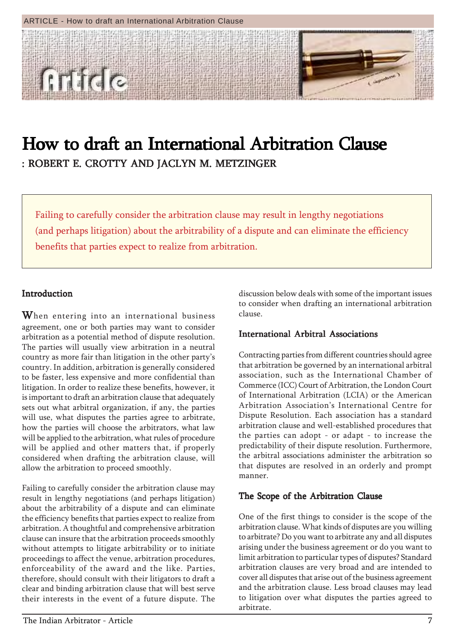

## How to draft an International Arbitration Clause : ROBERT E. CROTTY AND JACLYN M. METZINGER

Failing to carefully consider the arbitration clause may result in lengthy negotiations (and perhaps litigation) about the arbitrability of a dispute and can eliminate the efficiency benefits that parties expect to realize from arbitration.

#### Introduction

When entering into an international business agreement, one or both parties may want to consider arbitration as a potential method of dispute resolution. The parties will usually view arbitration in a neutral country as more fair than litigation in the other party's country. In addition, arbitration is generally considered to be faster, less expensive and more confidential than litigation. In order to realize these benefits, however, it is important to draft an arbitration clause that adequately sets out what arbitral organization, if any, the parties will use, what disputes the parties agree to arbitrate, how the parties will choose the arbitrators, what law will be applied to the arbitration, what rules of procedure will be applied and other matters that, if properly considered when drafting the arbitration clause, will allow the arbitration to proceed smoothly.

Failing to carefully consider the arbitration clause may result in lengthy negotiations (and perhaps litigation) about the arbitrability of a dispute and can eliminate the efficiency benefits that parties expect to realize from arbitration. A thoughtful and comprehensive arbitration clause can insure that the arbitration proceeds smoothly without attempts to litigate arbitrability or to initiate proceedings to affect the venue, arbitration procedures, enforceability of the award and the like. Parties, therefore, should consult with their litigators to draft a clear and binding arbitration clause that will best serve their interests in the event of a future dispute. The discussion below deals with some of the important issues to consider when drafting an international arbitration clause.

#### International Arbitral Associations

Contracting parties from different countries should agree that arbitration be governed by an international arbitral association, such as the International Chamber of Commerce (ICC) Court of Arbitration, the London Court of International Arbitration (LCIA) or the American Arbitration Association's International Centre for Dispute Resolution. Each association has a standard arbitration clause and well-established procedures that the parties can adopt - or adapt - to increase the predictability of their dispute resolution. Furthermore, the arbitral associations administer the arbitration so that disputes are resolved in an orderly and prompt manner.

#### The Scope of the Arbitration Clause

One of the first things to consider is the scope of the arbitration clause. What kinds of disputes are you willing to arbitrate? Do you want to arbitrate any and all disputes arising under the business agreement or do you want to limit arbitration to particular types of disputes? Standard arbitration clauses are very broad and are intended to cover all disputes that arise out of the business agreement and the arbitration clause. Less broad clauses may lead to litigation over what disputes the parties agreed to arbitrate.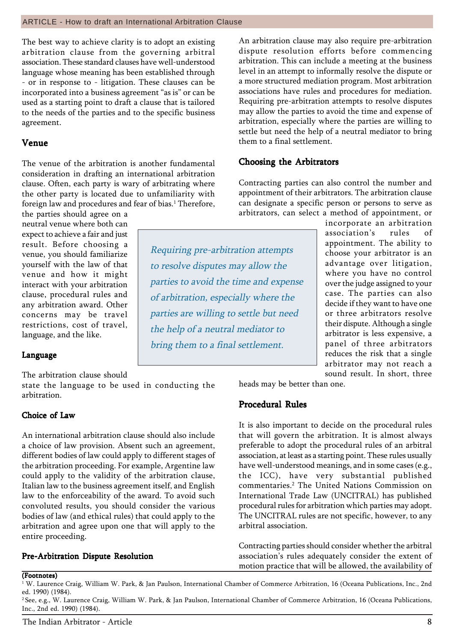The best way to achieve clarity is to adopt an existing arbitration clause from the governing arbitral association. These standard clauses have well-understood language whose meaning has been established through - or in response to - litigation. These clauses can be incorporated into a business agreement "as is" or can be used as a starting point to draft a clause that is tailored to the needs of the parties and to the specific business agreement.

#### Venue

The venue of the arbitration is another fundamental consideration in drafting an international arbitration clause. Often, each party is wary of arbitrating where the other party is located due to unfamiliarity with foreign law and procedures and fear of bias. $^{\rm 1}$  Therefore,

the parties should agree on a neutral venue where both can expect to achieve a fair and just result. Before choosing a venue, you should familiarize yourself with the law of that venue and how it might interact with your arbitration clause, procedural rules and any arbitration award. Other concerns may be travel restrictions, cost of travel, language, and the like.

#### Language

The arbitration clause should

state the language to be used in conducting the arbitration.

#### Choice of Law

An international arbitration clause should also include a choice of law provision. Absent such an agreement, different bodies of law could apply to different stages of the arbitration proceeding. For example, Argentine law could apply to the validity of the arbitration clause, Italian law to the business agreement itself, and English law to the enforceability of the award. To avoid such convoluted results, you should consider the various bodies of law (and ethical rules) that could apply to the arbitration and agree upon one that will apply to the entire proceeding.

#### Pre-Arbitration Dispute Resolution

#### (Footnotes)

An arbitration clause may also require pre-arbitration dispute resolution efforts before commencing arbitration. This can include a meeting at the business level in an attempt to informally resolve the dispute or a more structured mediation program. Most arbitration associations have rules and procedures for mediation. Requiring pre-arbitration attempts to resolve disputes may allow the parties to avoid the time and expense of arbitration, especially where the parties are willing to settle but need the help of a neutral mediator to bring them to a final settlement.

#### Choosing the Arbitrators

Contracting parties can also control the number and appointment of their arbitrators. The arbitration clause can designate a specific person or persons to serve as arbitrators, can select a method of appointment, or

incorporate an arbitration association's rules of appointment. The ability to choose your arbitrator is an advantage over litigation, where you have no control over the judge assigned to your case. The parties can also decide if they want to have one or three arbitrators resolve their dispute. Although a single arbitrator is less expensive, a panel of three arbitrators reduces the risk that a single arbitrator may not reach a sound result. In short, three

heads may be better than one.

#### Procedural Rules

It is also important to decide on the procedural rules that will govern the arbitration. It is almost always preferable to adopt the procedural rules of an arbitral association, at least as a starting point. These rules usually have well-understood meanings, and in some cases (e.g., the ICC), have very substantial published commentaries.2 The United Nations Commission on International Trade Law (UNCITRAL) has published procedural rules for arbitration which parties may adopt. The UNCITRAL rules are not specific, however, to any arbitral association.

Contracting parties should consider whether the arbitral association's rules adequately consider the extent of motion practice that will be allowed, the availability of

Requiring pre-arbitration attempts

to resolve disputes may allow the

parties to avoid the time and expense

of arbitration, especially where the

parties are willing to settle but need

the help of a neutral mediator to

bring them to a final settlement.

<sup>2</sup> See, e.g., W. Laurence Craig, William W. Park, & Jan Paulson, International Chamber of Commerce Arbitration, 16 (Oceana Publications, Inc., 2nd ed. 1990) (1984).

 $^{\rm I}$  W. Laurence Craig, William W. Park, & Jan Paulson, International Chamber of Commerce Arbitration, 16 (Oceana Publications, Inc., 2nd ed. 1990) (1984).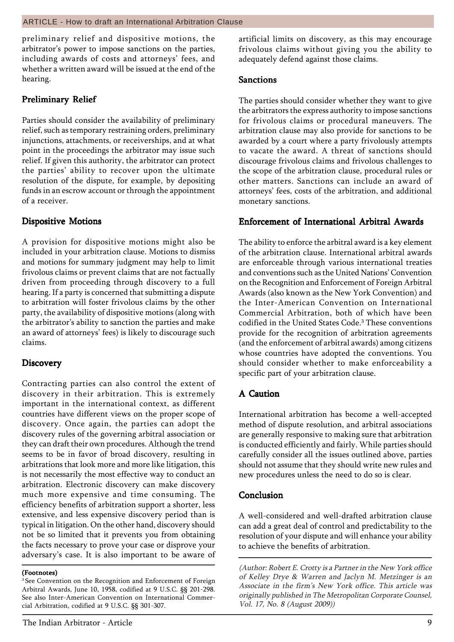preliminary relief and dispositive motions, the arbitrator's power to impose sanctions on the parties, including awards of costs and attorneys' fees, and whether a written award will be issued at the end of the hearing.

#### Preliminary Relief

Parties should consider the availability of preliminary relief, such as temporary restraining orders, preliminary injunctions, attachments, or receiverships, and at what point in the proceedings the arbitrator may issue such relief. If given this authority, the arbitrator can protect the parties' ability to recover upon the ultimate resolution of the dispute, for example, by depositing funds in an escrow account or through the appointment of a receiver.

#### Dispositive Motions

A provision for dispositive motions might also be included in your arbitration clause. Motions to dismiss and motions for summary judgment may help to limit frivolous claims or prevent claims that are not factually driven from proceeding through discovery to a full hearing. If a party is concerned that submitting a dispute to arbitration will foster frivolous claims by the other party, the availability of dispositive motions (along with the arbitrator's ability to sanction the parties and make an award of attorneys' fees) is likely to discourage such claims.

#### **Discovery**

Contracting parties can also control the extent of discovery in their arbitration. This is extremely important in the international context, as different countries have different views on the proper scope of discovery. Once again, the parties can adopt the discovery rules of the governing arbitral association or they can draft their own procedures. Although the trend seems to be in favor of broad discovery, resulting in arbitrations that look more and more like litigation, this is not necessarily the most effective way to conduct an arbitration. Electronic discovery can make discovery much more expensive and time consuming. The efficiency benefits of arbitration support a shorter, less extensive, and less expensive discovery period than is typical in litigation. On the other hand, discovery should not be so limited that it prevents you from obtaining the facts necessary to prove your case or disprove your adversary's case. It is also important to be aware of

#### (Footnotes)

artificial limits on discovery, as this may encourage frivolous claims without giving you the ability to adequately defend against those claims.

#### **Sanctions**

The parties should consider whether they want to give the arbitrators the express authority to impose sanctions for frivolous claims or procedural maneuvers. The arbitration clause may also provide for sanctions to be awarded by a court where a party frivolously attempts to vacate the award. A threat of sanctions should discourage frivolous claims and frivolous challenges to the scope of the arbitration clause, procedural rules or other matters. Sanctions can include an award of attorneys' fees, costs of the arbitration, and additional monetary sanctions.

#### Enforcement of International Arbitral Awards Enforcement of International Awards

The ability to enforce the arbitral award is a key element of the arbitration clause. International arbitral awards are enforceable through various international treaties and conventions such as the United Nations' Convention on the Recognition and Enforcement of Foreign Arbitral Awards (also known as the New York Convention) and the Inter-American Convention on International Commercial Arbitration, both of which have been codified in the United States Code.<sup>3</sup> These conventions provide for the recognition of arbitration agreements (and the enforcement of arbitral awards) among citizens whose countries have adopted the conventions. You should consider whether to make enforceability a specific part of your arbitration clause.

#### A Caution

International arbitration has become a well-accepted method of dispute resolution, and arbitral associations are generally responsive to making sure that arbitration is conducted efficiently and fairly. While parties should carefully consider all the issues outlined above, parties should not assume that they should write new rules and new procedures unless the need to do so is clear.

#### Conclusion

A well-considered and well-drafted arbitration clause can add a great deal of control and predictability to the resolution of your dispute and will enhance your ability to achieve the benefits of arbitration.

(Author: Robert E. Crotty is a Partner in the New York office of Kelley Drye & Warren and Jaclyn M. Metzinger is an Associate in the firm's New York office. This article was originally published in The Metropolitan Corporate Counsel, Vol. 17, No. 8 (August 2009))

<sup>&</sup>lt;sup>3</sup> See Convention on the Recognition and Enforcement of Foreign Arbitral Awards, June 10, 1958, codified at 9 U.S.C. ßß 201-298. See also Inter-American Convention on International Commercial Arbitration, codified at 9 U.S.C. ßß 301-307.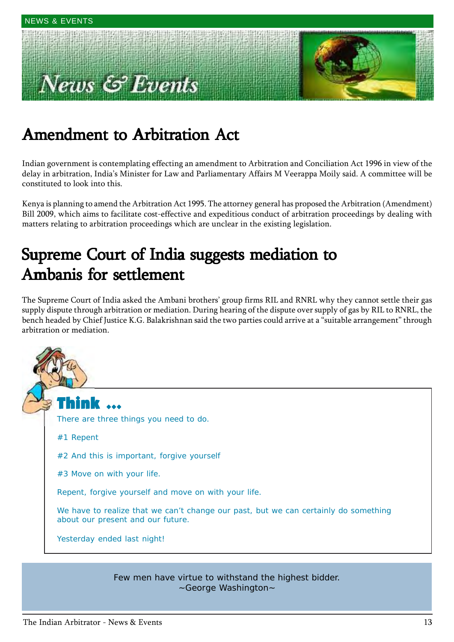## $s \mathcal{L}$  Pvents



## Amendment to Arbitration Act

Indian government is contemplating effecting an amendment to Arbitration and Conciliation Act 1996 in view of the delay in arbitration, Indiaís Minister for Law and Parliamentary Affairs M Veerappa Moily said. A committee will be constituted to look into this.

Kenya is planning to amend the Arbitration Act 1995. The attorney general has proposed the Arbitration (Amendment) Bill 2009, which aims to facilitate cost-effective and expeditious conduct of arbitration proceedings by dealing with matters relating to arbitration proceedings which are unclear in the existing legislation.

## Supreme Court of India suggests mediation to Ambanis for settlement

The Supreme Court of India asked the Ambani brothers' group firms RIL and RNRL why they cannot settle their gas supply dispute through arbitration or mediation. During hearing of the dispute over supply of gas by RIL to RNRL, the bench headed by Chief Justice K.G. Balakrishnan said the two parties could arrive at a "suitable arrangement" through arbitration or mediation.



Few men have virtue to withstand the highest bidder. ~George Washington~